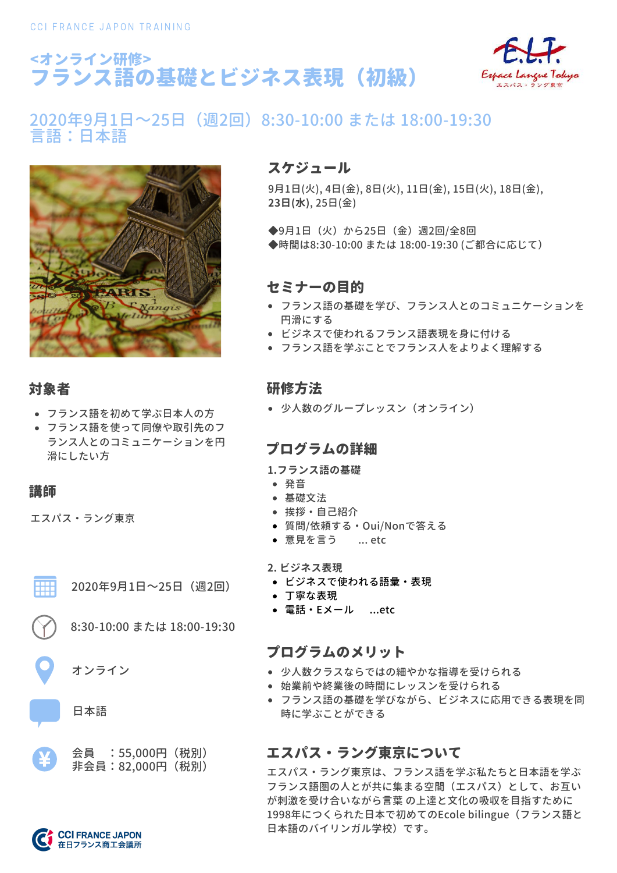



# 2020年9月1日~25日(週2回)8:30-10:00 または 18:00-19:30 言語:日本語



### 対象者

- フランス語を初めて学ぶ日本人の方
- フランス語を使って同僚や取引先のフ ランス人とのコミュニケーションを円 滑にしたい方

### 講師

エスパス・ラング東京



2020年9月1日~25日(週2回)

8:30-10:00 または 18:00-19:30

オンライン

日本語



## スケジュール

9月1日(火), 4日(金), 8日(火), 11日(金), 15日(火), 18日(金), **23日(水)**, 25日(金)

◆9月1日(火)から25日(金)週2回/全8回 ◆時間は8:30-10:00 または 18:00-19:30 (ご都合に応じて)

### セミナーの目的

- フランス語の基礎を学び、フランス人とのコミュニケーションを 円滑にする
- ビジネスで使われるフランス語表現を身に付ける
- フランス語を学ぶことでフランス人をよりよく理解する

### 研修方法

少人数のグループレッスン(オンライン)

### プログラムの詳細

**1.フランス語の基礎**

- 発音
- 基礎文法
- 挨拶・自己紹介
- 質問/依頼する・Oui/Nonで答える
- 意見を言う …etc
- **2. ビジネス表現**
- ビジネスで使われる語彙・表現
- 丁寧な表現
- 電話・Eメール ...etc

### プログラムのメリット

- 少人数クラスならではの細やかな指導を受けられる
- 始業前や終業後の時間にレッスンを受けられる
- フランス語の基礎を学びながら、ビジネスに応用できる表現を同 時に学ぶことができる

# エスパス・ラング東京について

エスパス・ラング東京は、フランス語を学ぶ私たちと日本語を学ぶ フランス語圏の人とが共に集まる空間(エスパス)として、お互い が刺激を受け合いながら言葉 の上達と文化の吸収を目指すために 1998年につくられた日本で初めてのEcole bilingue(フランス語と 日本語のバイリンガル学校)です。